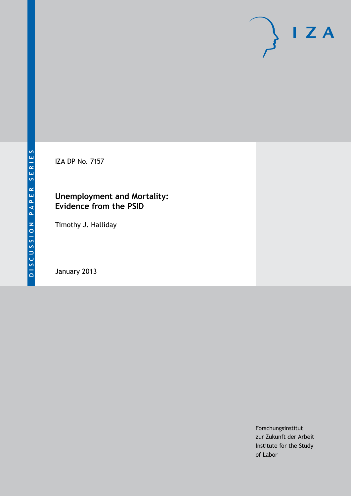

IZA DP No. 7157

### **Unemployment and Mortality: Evidence from the PSID**

Timothy J. Halliday

January 2013

Forschungsinstitut zur Zukunft der Arbeit Institute for the Study of Labor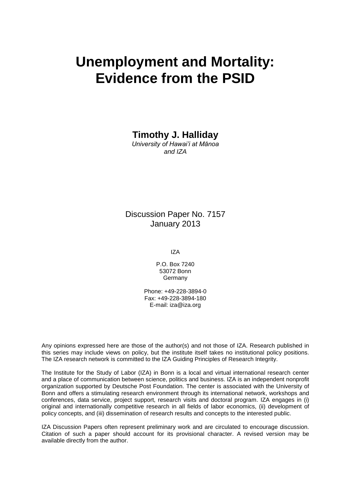# **Unemployment and Mortality: Evidence from the PSID**

**Timothy J. Halliday**

*University of Hawai'i at Mānoa and IZA*

### Discussion Paper No. 7157 January 2013

IZA

P.O. Box 7240 53072 Bonn **Germany** 

Phone: +49-228-3894-0 Fax: +49-228-3894-180 E-mail: [iza@iza.org](mailto:iza@iza.org)

Any opinions expressed here are those of the author(s) and not those of IZA. Research published in this series may include views on policy, but the institute itself takes no institutional policy positions. The IZA research network is committed to the IZA Guiding Principles of Research Integrity.

The Institute for the Study of Labor (IZA) in Bonn is a local and virtual international research center and a place of communication between science, politics and business. IZA is an independent nonprofit organization supported by Deutsche Post Foundation. The center is associated with the University of Bonn and offers a stimulating research environment through its international network, workshops and conferences, data service, project support, research visits and doctoral program. IZA engages in (i) original and internationally competitive research in all fields of labor economics, (ii) development of policy concepts, and (iii) dissemination of research results and concepts to the interested public.

<span id="page-1-0"></span>IZA Discussion Papers often represent preliminary work and are circulated to encourage discussion. Citation of such a paper should account for its provisional character. A revised version may be available directly from the author.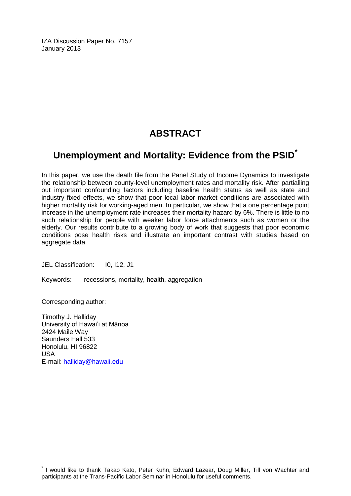IZA Discussion Paper No. 7157 January 2013

# **ABSTRACT**

# **Unemployment and Mortality: Evidence from the PSID[\\*](#page-1-0)**

In this paper, we use the death file from the Panel Study of Income Dynamics to investigate the relationship between county-level unemployment rates and mortality risk. After partialling out important confounding factors including baseline health status as well as state and industry fixed effects, we show that poor local labor market conditions are associated with higher mortality risk for working-aged men. In particular, we show that a one percentage point increase in the unemployment rate increases their mortality hazard by 6%. There is little to no such relationship for people with weaker labor force attachments such as women or the elderly. Our results contribute to a growing body of work that suggests that poor economic conditions pose health risks and illustrate an important contrast with studies based on aggregate data.

JEL Classification: I0, I12, J1

Keywords: recessions, mortality, health, aggregation

Corresponding author:

Timothy J. Halliday University of Hawai'i at Mānoa 2424 Maile Way Saunders Hall 533 Honolulu, HI 96822 USA E-mail: [halliday@hawaii.edu](mailto:halliday@hawaii.edu)

I would like to thank Takao Kato, Peter Kuhn, Edward Lazear, Doug Miller, Till von Wachter and participants at the Trans-Pacific Labor Seminar in Honolulu for useful comments.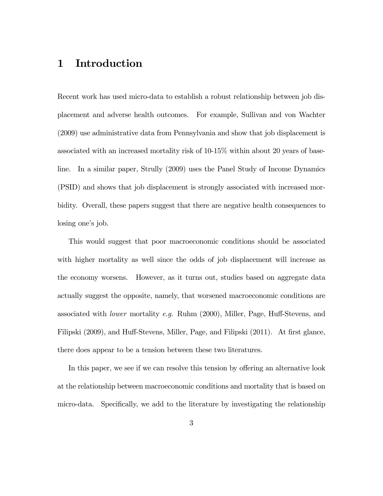## 1 Introduction

Recent work has used micro-data to establish a robust relationship between job displacement and adverse health outcomes. For example, Sullivan and von Wachter (2009) use administrative data from Pennsylvania and show that job displacement is associated with an increased mortality risk of 10-15% within about 20 years of baseline. In a similar paper, Strully (2009) uses the Panel Study of Income Dynamics (PSID) and shows that job displacement is strongly associated with increased morbidity. Overall, these papers suggest that there are negative health consequences to losing one's job.

This would suggest that poor macroeconomic conditions should be associated with higher mortality as well since the odds of job displacement will increase as the economy worsens. However, as it turns out, studies based on aggregate data actually suggest the opposite, namely, that worsened macroeconomic conditions are associated with lower mortality e.g. Ruhm (2000), Miller, Page, Huff-Stevens, and Filipski (2009), and Huff-Stevens, Miller, Page, and Filipski (2011). At first glance, there does appear to be a tension between these two literatures.

In this paper, we see if we can resolve this tension by offering an alternative look at the relationship between macroeconomic conditions and mortality that is based on micro-data. Specifically, we add to the literature by investigating the relationship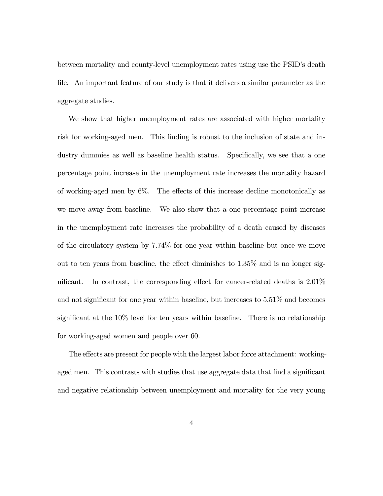between mortality and county-level unemployment rates using use the PSID's death file. An important feature of our study is that it delivers a similar parameter as the aggregate studies.

We show that higher unemployment rates are associated with higher mortality risk for working-aged men. This finding is robust to the inclusion of state and industry dummies as well as baseline health status. Specifically, we see that a one percentage point increase in the unemployment rate increases the mortality hazard of working-aged men by 6%. The effects of this increase decline monotonically as we move away from baseline. We also show that a one percentage point increase in the unemployment rate increases the probability of a death caused by diseases of the circulatory system by 7.74% for one year within baseline but once we move out to ten years from baseline, the effect diminishes to 1.35% and is no longer significant. In contrast, the corresponding effect for cancer-related deaths is 2.01% and not significant for one year within baseline, but increases to 5.51% and becomes significant at the 10% level for ten years within baseline. There is no relationship for working-aged women and people over 60.

The effects are present for people with the largest labor force attachment: workingaged men. This contrasts with studies that use aggregate data that find a significant and negative relationship between unemployment and mortality for the very young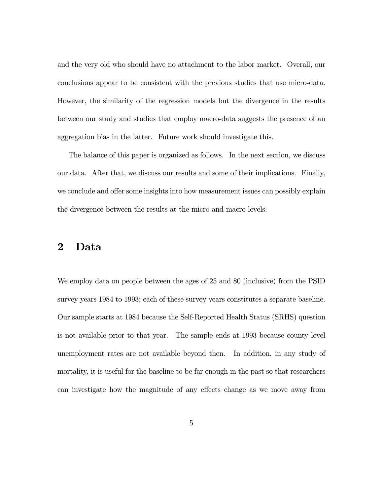and the very old who should have no attachment to the labor market. Overall, our conclusions appear to be consistent with the previous studies that use micro-data. However, the similarity of the regression models but the divergence in the results between our study and studies that employ macro-data suggests the presence of an aggregation bias in the latter. Future work should investigate this.

The balance of this paper is organized as follows. In the next section, we discuss our data. After that, we discuss our results and some of their implications. Finally, we conclude and offer some insights into how measurement issues can possibly explain the divergence between the results at the micro and macro levels.

# 2 Data

We employ data on people between the ages of 25 and 80 (inclusive) from the PSID survey years 1984 to 1993; each of these survey years constitutes a separate baseline. Our sample starts at 1984 because the Self-Reported Health Status (SRHS) question is not available prior to that year. The sample ends at 1993 because county level unemployment rates are not available beyond then. In addition, in any study of mortality, it is useful for the baseline to be far enough in the past so that researchers can investigate how the magnitude of any effects change as we move away from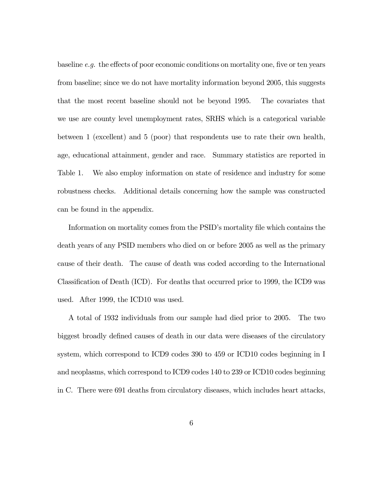baseline e.g. the effects of poor economic conditions on mortality one, five or ten years from baseline; since we do not have mortality information beyond 2005, this suggests that the most recent baseline should not be beyond 1995. The covariates that we use are county level unemployment rates, SRHS which is a categorical variable between 1 (excellent) and 5 (poor) that respondents use to rate their own health, age, educational attainment, gender and race. Summary statistics are reported in Table 1. We also employ information on state of residence and industry for some robustness checks. Additional details concerning how the sample was constructed can be found in the appendix.

Information on mortality comes from the PSID's mortality file which contains the death years of any PSID members who died on or before 2005 as well as the primary cause of their death. The cause of death was coded according to the International Classification of Death (ICD). For deaths that occurred prior to 1999, the ICD9 was used. After 1999, the ICD10 was used.

A total of 1932 individuals from our sample had died prior to 2005. The two biggest broadly defined causes of death in our data were diseases of the circulatory system, which correspond to ICD9 codes 390 to 459 or ICD10 codes beginning in I and neoplasms, which correspond to ICD9 codes 140 to 239 or ICD10 codes beginning in C. There were 691 deaths from circulatory diseases, which includes heart attacks,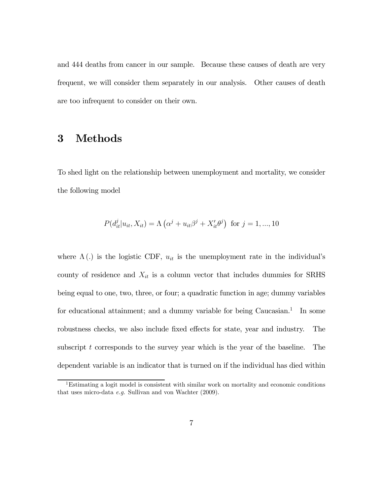and 444 deaths from cancer in our sample. Because these causes of death are very frequent, we will consider them separately in our analysis. Other causes of death are too infrequent to consider on their own.

# 3 Methods

To shed light on the relationship between unemployment and mortality, we consider the following model

$$
P(d_{it}^{j}|u_{it}, X_{it}) = \Lambda (\alpha^{j} + u_{it}\beta^{j} + X_{it}'\theta^{j}) \text{ for } j = 1, ..., 10
$$

where  $\Lambda(.)$  is the logistic CDF,  $u_{it}$  is the unemployment rate in the individual's county of residence and  $X_{it}$  is a column vector that includes dummies for SRHS being equal to one, two, three, or four; a quadratic function in age; dummy variables for educational attainment; and a dummy variable for being  $Caucasian<sup>1</sup>$ . In some robustness checks, we also include fixed effects for state, year and industry. The subscript  $t$  corresponds to the survey year which is the year of the baseline. The dependent variable is an indicator that is turned on if the individual has died within

<sup>1</sup>Estimating a logit model is consistent with similar work on mortality and economic conditions that uses micro-data e.g. Sullivan and von Wachter (2009).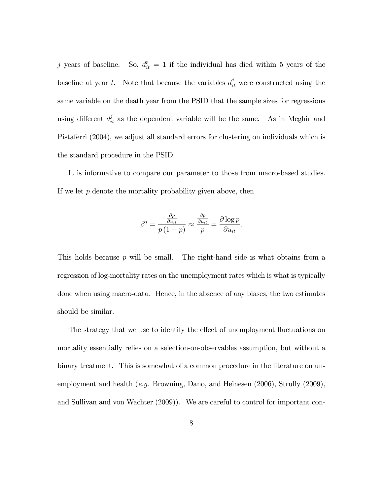j years of baseline. So,  $d_{it}^5 = 1$  if the individual has died within 5 years of the baseline at year t. Note that because the variables  $d_{it}^{j}$  were constructed using the same variable on the death year from the PSID that the sample sizes for regressions using different  $d_{it}^{j}$  as the dependent variable will be the same. As in Meghir and Pistaferri (2004), we adjust all standard errors for clustering on individuals which is the standard procedure in the PSID.

It is informative to compare our parameter to those from macro-based studies. If we let  $p$  denote the mortality probability given above, then

$$
\beta^j = \frac{\frac{\partial p}{\partial u_{it}}}{p(1-p)} \approx \frac{\frac{\partial p}{\partial u_{it}}}{p} = \frac{\partial \log p}{\partial u_{it}}.
$$

This holds because  $p$  will be small. The right-hand side is what obtains from a regression of log-mortality rates on the unemployment rates which is what is typically done when using macro-data. Hence, in the absence of any biases, the two estimates should be similar.

The strategy that we use to identify the effect of unemployment fluctuations on mortality essentially relies on a selection-on-observables assumption, but without a binary treatment. This is somewhat of a common procedure in the literature on unemployment and health (e.g. Browning, Dano, and Heinesen (2006), Strully (2009), and Sullivan and von Wachter (2009)). We are careful to control for important con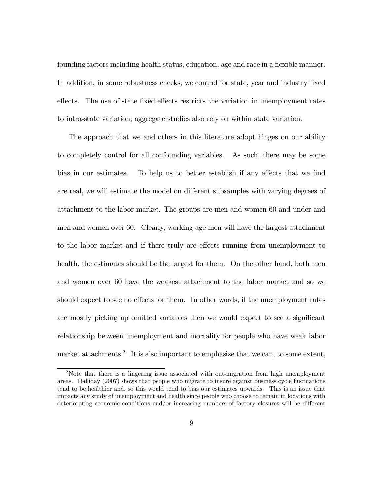founding factors including health status, education, age and race in a flexible manner. In addition, in some robustness checks, we control for state, year and industry fixed effects. The use of state fixed effects restricts the variation in unemployment rates to intra-state variation; aggregate studies also rely on within state variation.

The approach that we and others in this literature adopt hinges on our ability to completely control for all confounding variables. As such, there may be some bias in our estimates. To help us to better establish if any effects that we find are real, we will estimate the model on different subsamples with varying degrees of attachment to the labor market. The groups are men and women 60 and under and men and women over 60. Clearly, working-age men will have the largest attachment to the labor market and if there truly are effects running from unemployment to health, the estimates should be the largest for them. On the other hand, both men and women over 60 have the weakest attachment to the labor market and so we should expect to see no effects for them. In other words, if the unemployment rates are mostly picking up omitted variables then we would expect to see a significant relationship between unemployment and mortality for people who have weak labor market attachments.<sup>2</sup> It is also important to emphasize that we can, to some extent,

<sup>2</sup>Note that there is a lingering issue associated with out-migration from high unemployment areas. Halliday (2007) shows that people who migrate to insure against business cycle fluctuations tend to be healthier and, so this would tend to bias our estimates upwards. This is an issue that impacts any study of unemployment and health since people who choose to remain in locations with deteriorating economic conditions and/or increasing numbers of factory closures will be different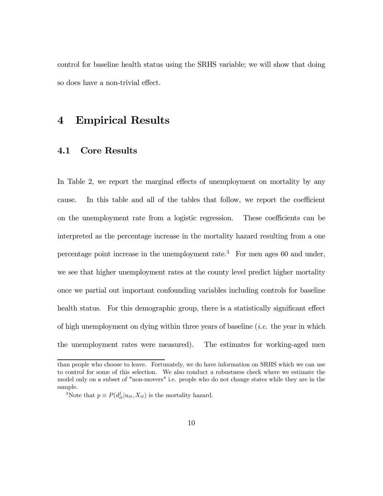control for baseline health status using the SRHS variable; we will show that doing so does have a non-trivial effect.

## 4 Empirical Results

#### 4.1 Core Results

In Table 2, we report the marginal effects of unemployment on mortality by any cause. In this table and all of the tables that follow, we report the coefficient on the unemployment rate from a logistic regression. These coefficients can be interpreted as the percentage increase in the mortality hazard resulting from a one percentage point increase in the unemployment rate.<sup>3</sup> For men ages 60 and under, we see that higher unemployment rates at the county level predict higher mortality once we partial out important confounding variables including controls for baseline health status. For this demographic group, there is a statistically significant effect of high unemployment on dying within three years of baseline (i.e. the year in which the unemployment rates were measured). The estimates for working-aged men

than people who choose to leave. Fortunately, we do have information on SRHS which we can use to control for some of this selection. We also conduct a robustness check where we estimate the model only on a subset of "non-movers" i.e. people who do not change states while they are in the sample.

<sup>&</sup>lt;sup>3</sup>Note that  $p \equiv P(d_{it}^j | u_{it}, X_{it})$  is the mortality hazard.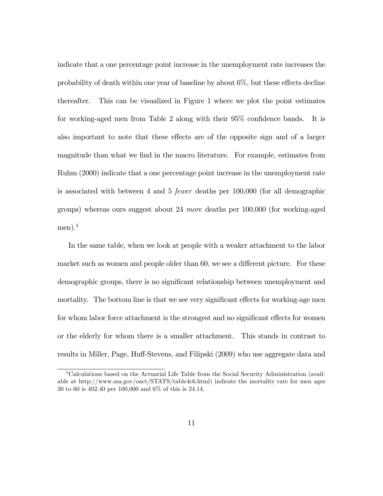indicate that a one percentage point increase in the unemployment rate increases the probability of death within one year of baseline by about 6%, but these effects decline thereafter. This can be visualized in Figure 1 where we plot the point estimates for working-aged men from Table 2 along with their 95% confidence bands. It is also important to note that these effects are of the opposite sign and of a larger magnitude than what we find in the macro literature. For example, estimates from Ruhm (2000) indicate that a one percentage point increase in the unemployment rate is associated with between 4 and 5 fewer deaths per 100,000 (for all demographic groups) whereas ours suggest about 24 more deaths per 100,000 (for working-aged men). $^{4}$ 

In the same table, when we look at people with a weaker attachment to the labor market such as women and people older than 60, we see a different picture. For these demographic groups, there is no significant relationship between unemployment and mortality. The bottom line is that we see very significant effects for working-age men for whom labor force attachment is the strongest and no significant effects for women or the elderly for whom there is a smaller attachment. This stands in contrast to results in Miller, Page, Huff-Stevens, and Filipski (2009) who use aggregate data and

<sup>4</sup>Calculations based on the Actuarial Life Table from the Social Security Administration (available at http://www.ssa.gov/oact/STATS/table4c6.html) indicate the mortality rate for men ages 30 to 60 is 402.40 per 100,000 and 6% of this is 24.14.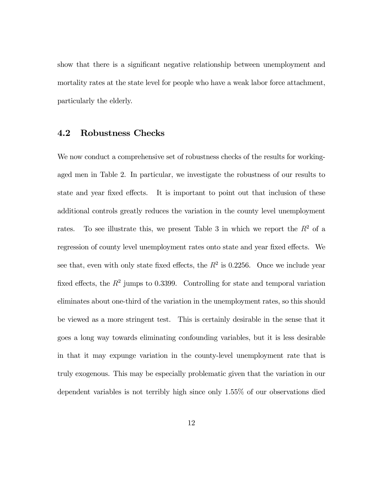show that there is a significant negative relationship between unemployment and mortality rates at the state level for people who have a weak labor force attachment, particularly the elderly.

#### 4.2 Robustness Checks

We now conduct a comprehensive set of robustness checks of the results for workingaged men in Table 2. In particular, we investigate the robustness of our results to state and year fixed effects. It is important to point out that inclusion of these additional controls greatly reduces the variation in the county level unemployment rates. To see illustrate this, we present Table 3 in which we report the  $R^2$  of a regression of county level unemployment rates onto state and year fixed effects. We see that, even with only state fixed effects, the  $R^2$  is 0.2256. Once we include year fixed effects, the  $R^2$  jumps to 0.3399. Controlling for state and temporal variation eliminates about one-third of the variation in the unemployment rates, so this should be viewed as a more stringent test. This is certainly desirable in the sense that it goes a long way towards eliminating confounding variables, but it is less desirable in that it may expunge variation in the county-level unemployment rate that is truly exogenous. This may be especially problematic given that the variation in our dependent variables is not terribly high since only 1.55% of our observations died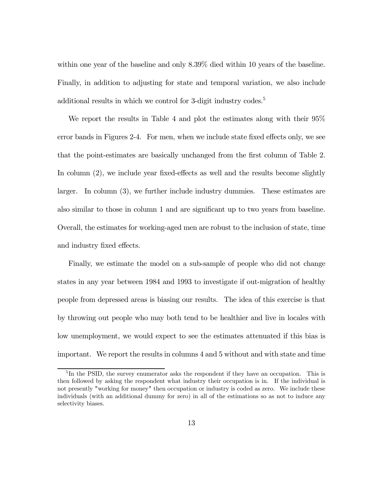within one year of the baseline and only 8.39% died within 10 years of the baseline. Finally, in addition to adjusting for state and temporal variation, we also include additional results in which we control for 3-digit industry codes.<sup>5</sup>

We report the results in Table 4 and plot the estimates along with their 95% error bands in Figures 2-4. For men, when we include state fixed effects only, we see that the point-estimates are basically unchanged from the first column of Table 2. In column (2), we include year fixed-effects as well and the results become slightly larger. In column (3), we further include industry dummies. These estimates are also similar to those in column 1 and are significant up to two years from baseline. Overall, the estimates for working-aged men are robust to the inclusion of state, time and industry fixed effects.

Finally, we estimate the model on a sub-sample of people who did not change states in any year between 1984 and 1993 to investigate if out-migration of healthy people from depressed areas is biasing our results. The idea of this exercise is that by throwing out people who may both tend to be healthier and live in locales with low unemployment, we would expect to see the estimates attenuated if this bias is important. We report the results in columns 4 and 5 without and with state and time

 ${}^{5}$ In the PSID, the survey enumerator asks the respondent if they have an occupation. This is then followed by asking the respondent what industry their occupation is in. If the individual is not presently "working for money" then occupation or industry is coded as zero. We include these individuals (with an additional dummy for zero) in all of the estimations so as not to induce any selectivity biases.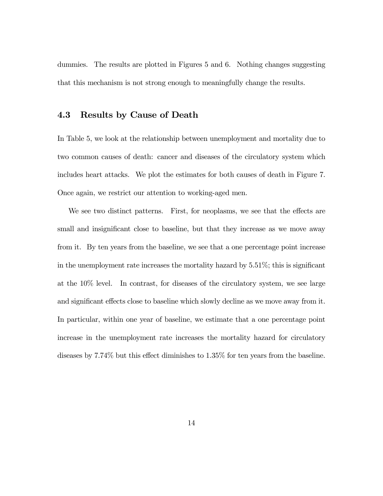dummies. The results are plotted in Figures 5 and 6. Nothing changes suggesting that this mechanism is not strong enough to meaningfully change the results.

#### 4.3 Results by Cause of Death

In Table 5, we look at the relationship between unemployment and mortality due to two common causes of death: cancer and diseases of the circulatory system which includes heart attacks. We plot the estimates for both causes of death in Figure 7. Once again, we restrict our attention to working-aged men.

We see two distinct patterns. First, for neoplasms, we see that the effects are small and insignificant close to baseline, but that they increase as we move away from it. By ten years from the baseline, we see that a one percentage point increase in the unemployment rate increases the mortality hazard by 5.51%; this is significant at the 10% level. In contrast, for diseases of the circulatory system, we see large and significant effects close to baseline which slowly decline as we move away from it. In particular, within one year of baseline, we estimate that a one percentage point increase in the unemployment rate increases the mortality hazard for circulatory diseases by 7.74% but this effect diminishes to 1.35% for ten years from the baseline.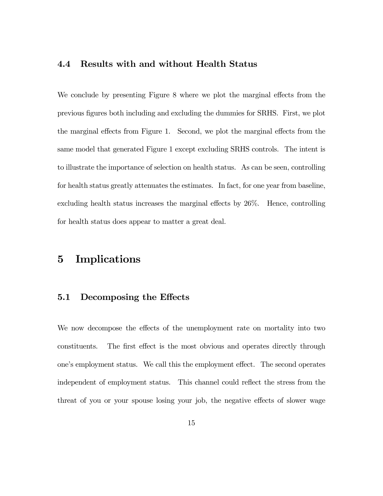#### 4.4 Results with and without Health Status

We conclude by presenting Figure 8 where we plot the marginal effects from the previous figures both including and excluding the dummies for SRHS. First, we plot the marginal effects from Figure 1. Second, we plot the marginal effects from the same model that generated Figure 1 except excluding SRHS controls. The intent is to illustrate the importance of selection on health status. As can be seen, controlling for health status greatly attenuates the estimates. In fact, for one year from baseline, excluding health status increases the marginal effects by 26%. Hence, controlling for health status does appear to matter a great deal.

# 5 Implications

#### 5.1 Decomposing the Effects

We now decompose the effects of the unemployment rate on mortality into two constituents. The first effect is the most obvious and operates directly through one's employment status. We call this the employment effect. The second operates independent of employment status. This channel could reflect the stress from the threat of you or your spouse losing your job, the negative effects of slower wage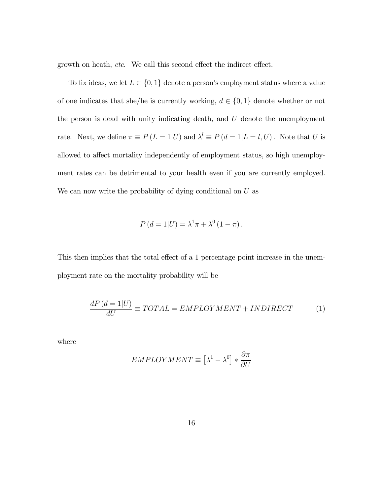growth on heath, etc. We call this second effect the indirect effect.

To fix ideas, we let  $L \in \{0, 1\}$  denote a person's employment status where a value of one indicates that she/he is currently working,  $d \in \{0, 1\}$  denote whether or not the person is dead with unity indicating death, and  $U$  denote the unemployment rate. Next, we define  $\pi \equiv P(L = 1|U)$  and  $\lambda^l \equiv P(d = 1|L = l, U)$ . Note that U is allowed to affect mortality independently of employment status, so high unemployment rates can be detrimental to your health even if you are currently employed. We can now write the probability of dying conditional on  $U$  as

$$
P(d = 1|U) = \lambda^{1}\pi + \lambda^{0}(1 - \pi).
$$

This then implies that the total effect of a 1 percentage point increase in the unemployment rate on the mortality probability will be

$$
\frac{dP(d=1|U)}{dU} \equiv TOTAL = EMPLOYMENT + INDIRECT \tag{1}
$$

where

$$
EMPLOYMENT \equiv \left[\lambda^1 - \lambda^0\right] * \frac{\partial \pi}{\partial U}
$$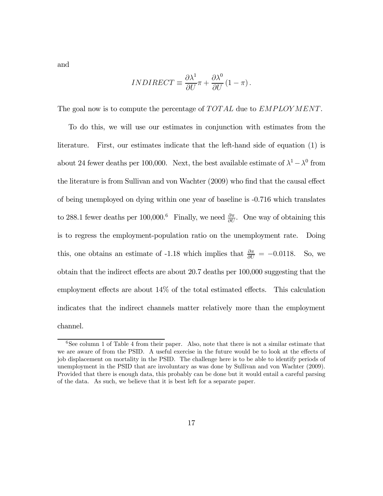and

$$
INDIRECT \equiv \frac{\partial \lambda^1}{\partial U} \pi + \frac{\partial \lambda^0}{\partial U} (1 - \pi).
$$

The goal now is to compute the percentage of  $TOTAL$  due to  $EMPLOYMENT$ .

To do this, we will use our estimates in conjunction with estimates from the literature. First, our estimates indicate that the left-hand side of equation (1) is about 24 fewer deaths per 100,000. Next, the best available estimate of  $\lambda^1 - \lambda^0$  from the literature is from Sullivan and von Wachter (2009) who find that the causal effect of being unemployed on dying within one year of baseline is -0.716 which translates to 288.1 fewer deaths per 100,000.<sup>6</sup> Finally, we need  $\frac{\partial \pi}{\partial U}$ . One way of obtaining this is to regress the employment-population ratio on the unemployment rate. Doing this, one obtains an estimate of -1.18 which implies that  $\frac{\partial \pi}{\partial U} = -0.0118$ . So, we obtain that the indirect effects are about 20.7 deaths per 100,000 suggesting that the employment effects are about 14% of the total estimated effects. This calculation indicates that the indirect channels matter relatively more than the employment channel.

 $6$ See column 1 of Table 4 from their paper. Also, note that there is not a similar estimate that we are aware of from the PSID. A useful exercise in the future would be to look at the effects of job displacement on mortality in the PSID. The challenge here is to be able to identify periods of unemployment in the PSID that are involuntary as was done by Sullivan and von Wachter (2009). Provided that there is enough data, this probably can be done but it would entail a careful parsing of the data. As such, we believe that it is best left for a separate paper.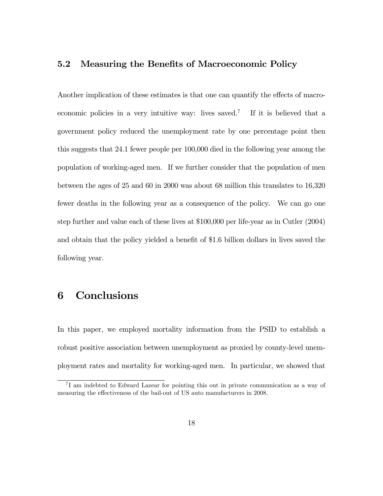#### 5.2 Measuring the Benefits of Macroeconomic Policy

Another implication of these estimates is that one can quantify the effects of macroeconomic policies in a very intuitive way: lives saved.<sup>7</sup> If it is believed that a government policy reduced the unemployment rate by one percentage point then this suggests that 24.1 fewer people per 100,000 died in the following year among the population of working-aged men. If we further consider that the population of men between the ages of 25 and 60 in 2000 was about 68 million this translates to 16,320 fewer deaths in the following year as a consequence of the policy. We can go one step further and value each of these lives at \$100,000 per life-year as in Cutler (2004) and obtain that the policy yielded a benefit of \$1.6 billion dollars in lives saved the following year.

# 6 Conclusions

In this paper, we employed mortality information from the PSID to establish a robust positive association between unemployment as proxied by county-level unemployment rates and mortality for working-aged men. In particular, we showed that

<sup>7</sup> I am indebted to Edward Lazear for pointing this out in private communication as a way of measuring the effectiveness of the bail-out of US auto manufacturers in 2008.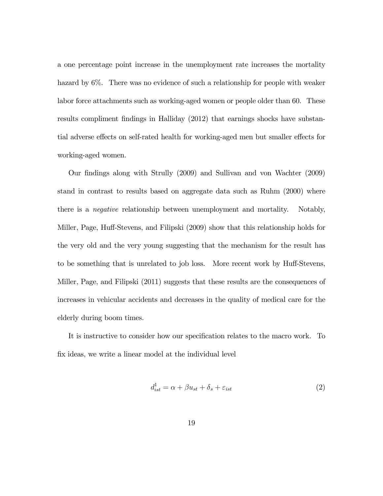a one percentage point increase in the unemployment rate increases the mortality hazard by 6%. There was no evidence of such a relationship for people with weaker labor force attachments such as working-aged women or people older than 60. These results compliment findings in Halliday (2012) that earnings shocks have substantial adverse effects on self-rated health for working-aged men but smaller effects for working-aged women.

Our findings along with Strully (2009) and Sullivan and von Wachter (2009) stand in contrast to results based on aggregate data such as Ruhm (2000) where there is a negative relationship between unemployment and mortality. Notably, Miller, Page, Huff-Stevens, and Filipski (2009) show that this relationship holds for the very old and the very young suggesting that the mechanism for the result has to be something that is unrelated to job loss. More recent work by Huff-Stevens, Miller, Page, and Filipski (2011) suggests that these results are the consequences of increases in vehicular accidents and decreases in the quality of medical care for the elderly during boom times.

It is instructive to consider how our specification relates to the macro work. To fix ideas, we write a linear model at the individual level

$$
d_{ist}^1 = \alpha + \beta u_{st} + \delta_s + \varepsilon_{ist} \tag{2}
$$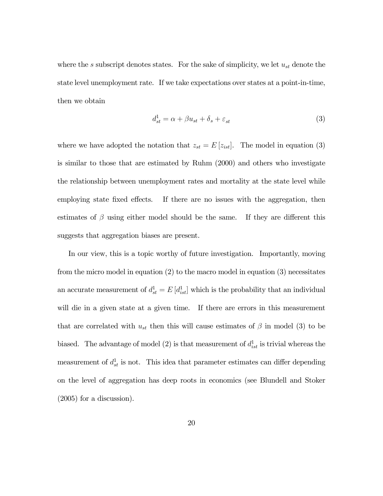where the s subscript denotes states. For the sake of simplicity, we let  $u_{st}$  denote the state level unemployment rate. If we take expectations over states at a point-in-time, then we obtain

$$
d_{st}^1 = \alpha + \beta u_{st} + \delta_s + \varepsilon_{st} \tag{3}
$$

where we have adopted the notation that  $z_{st} = E[z_{ist}]$ . The model in equation (3) is similar to those that are estimated by Ruhm (2000) and others who investigate the relationship between unemployment rates and mortality at the state level while employing state fixed effects. If there are no issues with the aggregation, then estimates of  $\beta$  using either model should be the same. If they are different this suggests that aggregation biases are present.

In our view, this is a topic worthy of future investigation. Importantly, moving from the micro model in equation (2) to the macro model in equation (3) necessitates an accurate measurement of  $d_{st}^1 = E[d_{ist}^1]$  which is the probability that an individual will die in a given state at a given time. If there are errors in this measurement that are correlated with  $u_{st}$  then this will cause estimates of  $\beta$  in model (3) to be biased. The advantage of model (2) is that measurement of  $d_{ist}^1$  is trivial whereas the measurement of  $d_{st}^1$  is not. This idea that parameter estimates can differ depending on the level of aggregation has deep roots in economics (see Blundell and Stoker (2005) for a discussion).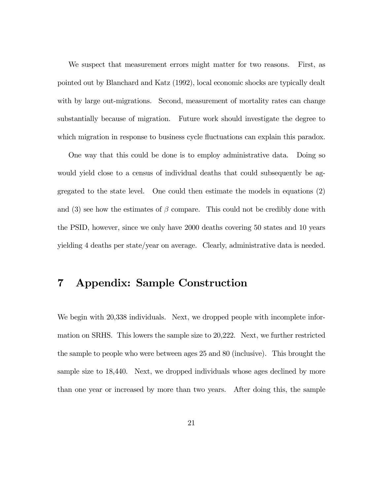We suspect that measurement errors might matter for two reasons. First, as pointed out by Blanchard and Katz (1992), local economic shocks are typically dealt with by large out-migrations. Second, measurement of mortality rates can change substantially because of migration. Future work should investigate the degree to which migration in response to business cycle fluctuations can explain this paradox.

One way that this could be done is to employ administrative data. Doing so would yield close to a census of individual deaths that could subsequently be aggregated to the state level. One could then estimate the models in equations (2) and (3) see how the estimates of  $\beta$  compare. This could not be credibly done with the PSID, however, since we only have 2000 deaths covering 50 states and 10 years yielding 4 deaths per state/year on average. Clearly, administrative data is needed.

## 7 Appendix: Sample Construction

We begin with 20,338 individuals. Next, we dropped people with incomplete information on SRHS. This lowers the sample size to 20,222. Next, we further restricted the sample to people who were between ages 25 and 80 (inclusive). This brought the sample size to 18,440. Next, we dropped individuals whose ages declined by more than one year or increased by more than two years. After doing this, the sample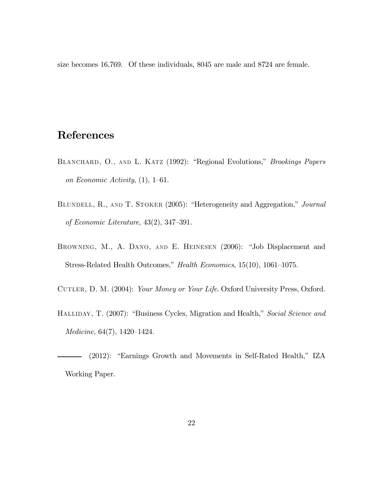size becomes 16,769. Of these individuals, 8045 are male and 8724 are female.

# References

- BLANCHARD, O., AND L. KATZ (1992): "Regional Evolutions," Brookings Papers on Economic Activity, (1), 1—61.
- BLUNDELL, R., AND T. STOKER (2005): "Heterogeneity and Aggregation," Journal of Economic Literature, 43(2), 347—391.
- Browning, M., A. Dano, and E. Heinesen (2006): "Job Displacement and Stress-Related Health Outcomes," Health Economics, 15(10), 1061—1075.
- CUTLER, D. M. (2004): Your Money or Your Life. Oxford University Press, Oxford.
- HALLIDAY, T. (2007): "Business Cycles, Migration and Health," Social Science and Medicine, 64(7), 1420—1424.

(2012): "Earnings Growth and Movements in Self-Rated Health," IZA Working Paper.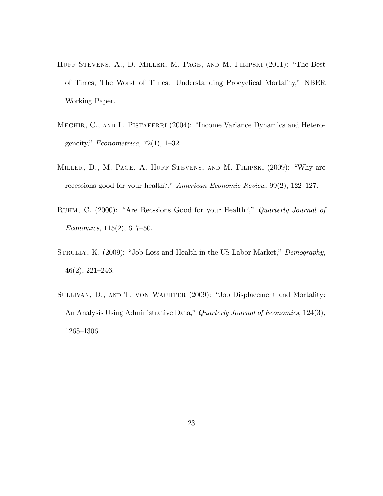- Huff-Stevens, A., D. Miller, M. Page, and M. Filipski (2011): "The Best of Times, The Worst of Times: Understanding Procyclical Mortality," NBER Working Paper.
- MEGHIR, C., AND L. PISTAFERRI (2004): "Income Variance Dynamics and Heterogeneity,"  $Econometrica$ , 72(1), 1–32.
- Miller, D., M. Page, A. Huff-Stevens, and M. Filipski (2009): "Why are recessions good for your health?," American Economic Review, 99(2), 122—127.
- RUHM, C. (2000): "Are Recssions Good for your Health?," Quarterly Journal of Economics, 115(2), 617—50.
- STRULLY, K. (2009): "Job Loss and Health in the US Labor Market," Demography, 46(2), 221—246.
- SULLIVAN, D., AND T. VON WACHTER (2009): "Job Displacement and Mortality: An Analysis Using Administrative Data," Quarterly Journal of Economics, 124(3), 1265—1306.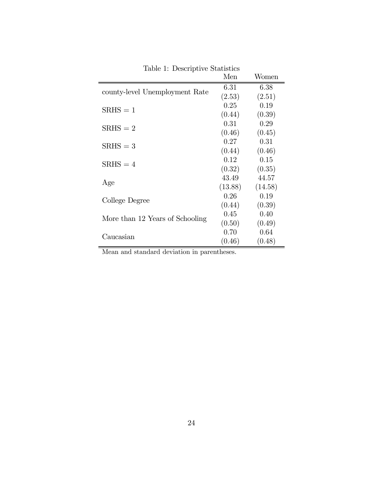|                                 | Men     | Women   |
|---------------------------------|---------|---------|
| county-level Unemployment Rate  | 6.31    | 6.38    |
|                                 | (2.53)  | (2.51)  |
| $SRHS = 1$                      | 0.25    | 0.19    |
|                                 | (0.44)  | (0.39)  |
| $SRHS = 2$                      | 0.31    | 0.29    |
|                                 | (0.46)  | (0.45)  |
| $SRHS = 3$                      | 0.27    | 0.31    |
|                                 | (0.44)  | (0.46)  |
| $SRHS = 4$                      | 0.12    | 0.15    |
|                                 | (0.32)  | (0.35)  |
| Age                             | 43.49   | 44.57   |
|                                 | (13.88) | (14.58) |
| College Degree                  | 0.26    | 0.19    |
|                                 | (0.44)  | (0.39)  |
| More than 12 Years of Schooling | 0.45    | 0.40    |
|                                 | (0.50)  | (0.49)  |
| Caucasian                       | 0.70    | 0.64    |
|                                 | (0.46)  | (0.48)  |

Table 1: Descriptive Statistics

Mean and standard deviation in parentheses.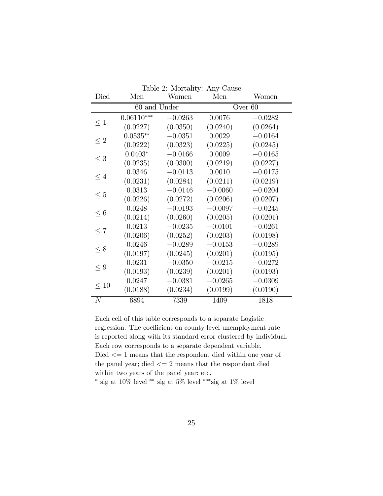| Died      | Men              | Women     | Men       | Women     |  |
|-----------|------------------|-----------|-----------|-----------|--|
|           | $60$ and $Under$ |           | Over 60   |           |  |
| $\leq 1$  | $0.06110***$     | $-0.0263$ | 0.0076    | $-0.0282$ |  |
|           | (0.0227)         | (0.0350)  | (0.0240)  | (0.0264)  |  |
| $\leq 2$  | $0.0535**$       | $-0.0351$ | 0.0029    | $-0.0164$ |  |
|           | (0.0222)         | (0.0323)  | (0.0225)  | (0.0245)  |  |
| $\leq 3$  | $0.0403*$        | $-0.0166$ | 0.0009    | $-0.0165$ |  |
|           | (0.0235)         | (0.0300)  | (0.0219)  | (0.0227)  |  |
| $\leq 4$  | 0.0346           | $-0.0113$ | 0.0010    | $-0.0175$ |  |
|           | (0.0231)         | (0.0284)  | (0.0211)  | (0.0219)  |  |
| $\leq 5$  | 0.0313           | $-0.0146$ | $-0.0060$ | $-0.0204$ |  |
|           | (0.0226)         | (0.0272)  | (0.0206)  | (0.0207)  |  |
| $\leq 6$  | 0.0248           | $-0.0193$ | $-0.0097$ | $-0.0245$ |  |
|           | (0.0214)         | (0.0260)  | (0.0205)  | (0.0201)  |  |
| $\leq 7$  | 0.0213           | $-0.0235$ | $-0.0101$ | $-0.0261$ |  |
|           | (0.0206)         | (0.0252)  | (0.0203)  | (0.0198)  |  |
| $\leq 8$  | 0.0246           | $-0.0289$ | $-0.0153$ | $-0.0289$ |  |
|           | (0.0197)         | (0.0245)  | (0.0201)  | (0.0195)  |  |
| $\leq 9$  | 0.0231           | $-0.0350$ | $-0.0215$ | $-0.0272$ |  |
|           | (0.0193)         | (0.0239)  | (0.0201)  | (0.0193)  |  |
| $\leq 10$ | 0.0247           | $-0.0381$ | $-0.0265$ | $-0.0309$ |  |
|           | (0.0188)         | (0.0234)  | (0.0199)  | (0.0190)  |  |
| N         | 6894             | 7339      | 1409      | 1818      |  |

Table 2: Mortality: Any Cause

Each cell of this table corresponds to a separate Logistic regression. The coefficient on county level unemployment rate is reported along with its standard error clustered by individual. Each row corresponds to a separate dependent variable. Died  $\leq$  1 means that the respondent died within one year of the panel year; died  $\leq$  2 means that the respondent died within two years of the panel year; etc.

∗ sig at 10% level ∗∗ sig at 5% level ∗∗∗sig at 1% level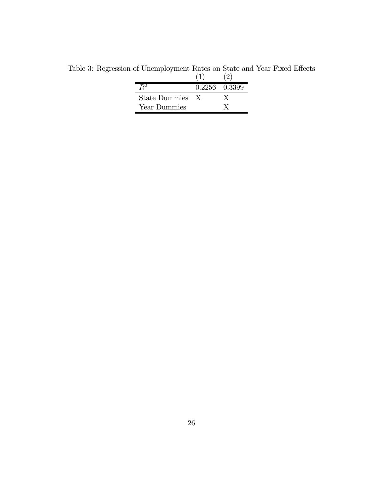|                      | 0.2256 0.3399 |
|----------------------|---------------|
| <b>State Dummies</b> |               |
| Year Dummies         |               |

Table 3: Regression of Unemployment Rates on State and Year Fixed Effects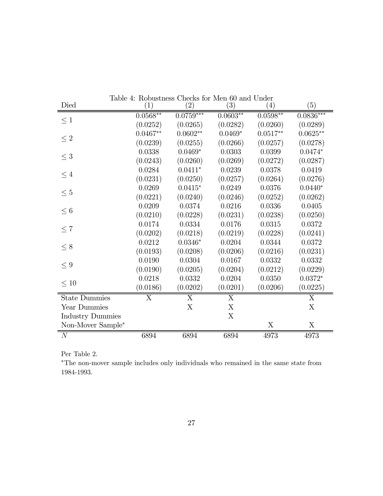| ranic<br>Died           | <b>E.</b> TWOUSURESS CHUCKS TOI INICH OU GHU CHUCH<br>(1) | $\left( 2\right)$ | $\left( 3\right)$ | (4)        | (5)         |
|-------------------------|-----------------------------------------------------------|-------------------|-------------------|------------|-------------|
|                         | $0.0568**$                                                | $0.0759***$       | $0.0603**$        | $0.0598**$ | $0.0836***$ |
| $\leq 1$                | (0.0252)                                                  | (0.0265)          | (0.0282)          | (0.0260)   | (0.0289)    |
|                         | $0.0467**$                                                | $0.0602**$        | $0.0469*$         | $0.0517**$ | $0.0625**$  |
| $\leq 2$                | (0.0239)                                                  | (0.0255)          | (0.0266)          | (0.0257)   | (0.0278)    |
|                         | 0.0338                                                    | $0.0469*$         | 0.0303            | 0.0399     | $0.0474*$   |
| $\leq 3$                | (0.0243)                                                  | (0.0260)          | (0.0269)          | (0.0272)   | (0.0287)    |
|                         | 0.0284                                                    | $0.0411*$         | 0.0239            | 0.0378     | 0.0419      |
| $\leq 4$                | (0.0231)                                                  | (0.0250)          | (0.0257)          | (0.0264)   | (0.0276)    |
|                         | 0.0269                                                    | $0.0415*$         | 0.0249            | 0.0376     | $0.0440*$   |
| $\leq 5$                | (0.0221)                                                  | (0.0240)          | (0.0246)          | (0.0252)   | (0.0262)    |
|                         | 0.0209                                                    | 0.0374            | 0.0216            | 0.0336     | 0.0405      |
| $\leq 6$                | (0.0210)                                                  | (0.0228)          | (0.0231)          | (0.0238)   | (0.0250)    |
|                         | 0.0174                                                    | 0.0334            | 0.0176            | 0.0315     | 0.0372      |
| $\leq 7$                | (0.0202)                                                  | (0.0218)          | (0.0219)          | (0.0228)   | (0.0241)    |
|                         | 0.0212                                                    | $0.0346*$         | 0.0204            | 0.0344     | 0.0372      |
| $\leq 8$                | (0.0193)                                                  | (0.0208)          | (0.0206)          | (0.0216)   | (0.0231)    |
|                         | 0.0190                                                    | 0.0304            | 0.0167            | 0.0332     | 0.0332      |
| $\leq 9$                | (0.0190)                                                  | (0.0205)          | (0.0204)          | (0.0212)   | (0.0229)    |
| $\leq 10$               | 0.0218                                                    | 0.0332            | 0.0204            | 0.0350     | $0.0372*$   |
|                         | (0.0186)                                                  | (0.0202)          | (0.0201)          | (0.0206)   | (0.0225)    |
| <b>State Dummies</b>    | X                                                         | X                 | X                 |            | X           |
| Year Dummies            |                                                           | X                 | X                 |            | X           |
| <b>Industry Dummies</b> |                                                           |                   | X                 |            |             |
| Non-Mover Sample*       |                                                           |                   |                   | X          | X           |
| $\overline{N}$          | 6894                                                      | 6894              | 6894              | 4973       | 4973        |

Table 4: Robustness Checks for Men 60 and Under

Per Table 2.

∗The non-mover sample includes only individuals who remained in the same state from 1984-1993.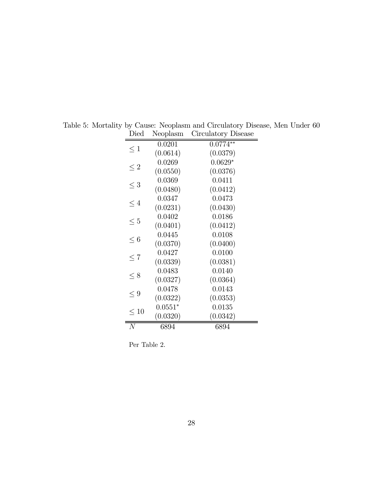| ⊷น        | $1,00$ piavin         | $\mu$ . The compact of $\mu$ |
|-----------|-----------------------|------------------------------|
| $\leq 1$  | 0.0201                | $0.0774**$                   |
|           | (0.0614)<br>0.0269    | (0.0379)<br>$0.0629*$        |
| $\leq 2$  | (0.0550)              | (0.0376)                     |
| $\leq 3$  | 0.0369                | 0.0411                       |
|           | (0.0480)              | (0.0412)                     |
| $\leq 4$  | 0.0347<br>(0.0231)    | 0.0473<br>(0.0430)           |
|           | 0.0402                | 0.0186                       |
| $\leq 5$  | (0.0401)              | (0.0412)                     |
| $\leq 6$  | 0.0445                | 0.0108                       |
|           | (0.0370)              | (0.0400)                     |
| $\leq 7$  | 0.0427<br>(0.0339)    | 0.0100<br>(0.0381)           |
|           | 0.0483                | 0.0140                       |
| $\leq 8$  | (0.0327)              | (0.0364)                     |
| < 9       | 0.0478                | 0.0143                       |
|           | (0.0322)              | (0.0353)                     |
| $\leq 10$ | $0.0551*$<br>(0.0320) | 0.0135<br>(0.0342)           |
| N         | 6894                  | 6894                         |
|           |                       |                              |

Table 5: Mortality by Cause: Neoplasm and Circulatory Disease, Men Under 60 Died Neoplasm Circulatory Disease

Per Table 2.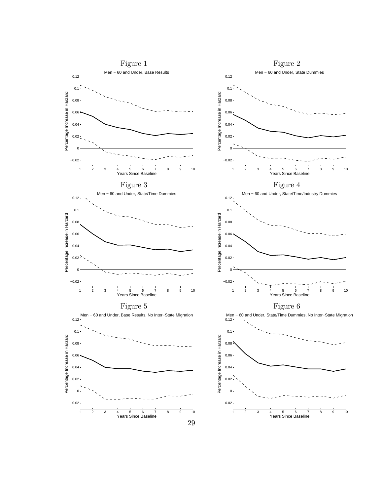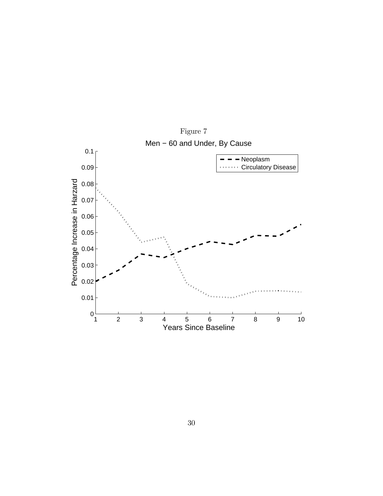

30